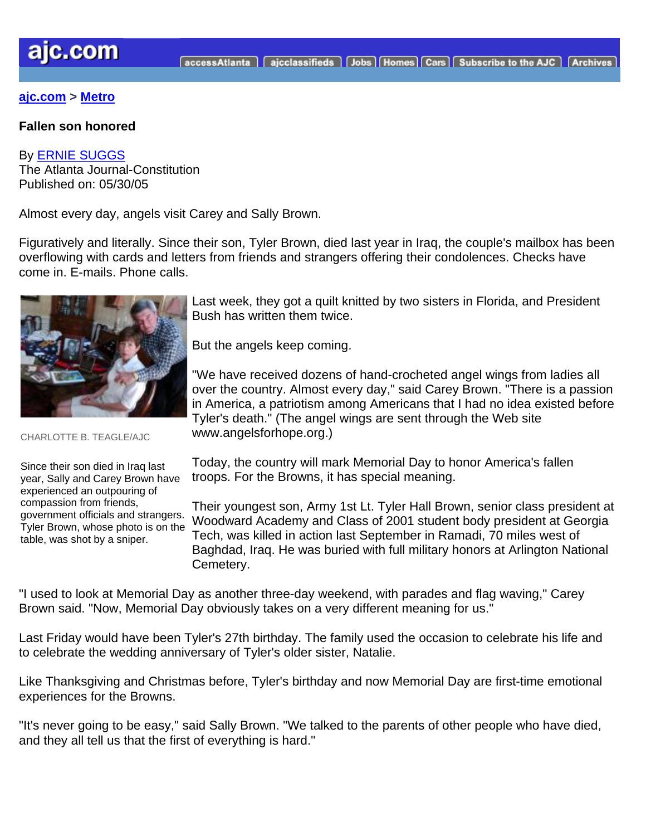## **[ajc.com](http://www.ajc.com/) > [Metro](http://www.ajc.com/metro/content/metro/index.html)**

#### **Fallen son honored**

### By [ERNIE SUGGS](mailto:esuggs@ajc.com)

The Atlanta Journal-Constitution Published on: 05/30/05

Almost every day, angels visit Carey and Sally Brown.

Figuratively and literally. Since their son, Tyler Brown, died last year in Iraq, the couple's mailbox has been overflowing with cards and letters from friends and strangers offering their condolences. Checks have come in. E-mails. Phone calls.



CHARLOTTE B. TEAGLE/AJC

Since their son died in Iraq last year, Sally and Carey Brown have experienced an outpouring of compassion from friends, government officials and strangers. Tyler Brown, whose photo is on the table, was shot by a sniper.

Last week, they got a quilt knitted by two sisters in Florida, and President Bush has written them twice.

But the angels keep coming.

"We have received dozens of hand-crocheted angel wings from ladies all over the country. Almost every day," said Carey Brown. "There is a passion in America, a patriotism among Americans that I had no idea existed before Tyler's death." (The angel wings are sent through the Web site www.angelsforhope.org.)

Today, the country will mark Memorial Day to honor America's fallen troops. For the Browns, it has special meaning.

Their youngest son, Army 1st Lt. Tyler Hall Brown, senior class president at Woodward Academy and Class of 2001 student body president at Georgia Tech, was killed in action last September in Ramadi, 70 miles west of Baghdad, Iraq. He was buried with full military honors at Arlington National Cemetery.

"I used to look at Memorial Day as another three-day weekend, with parades and flag waving," Carey Brown said. "Now, Memorial Day obviously takes on a very different meaning for us."

Last Friday would have been Tyler's 27th birthday. The family used the occasion to celebrate his life and to celebrate the wedding anniversary of Tyler's older sister, Natalie.

Like Thanksgiving and Christmas before, Tyler's birthday and now Memorial Day are first-time emotional experiences for the Browns.

"It's never going to be easy," said Sally Brown. "We talked to the parents of other people who have died, and they all tell us that the first of everything is hard."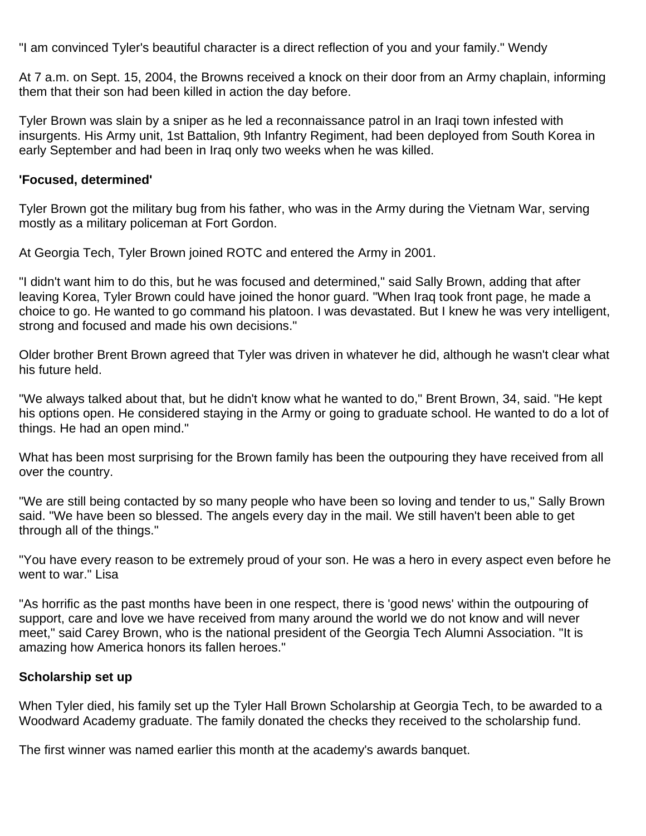"I am convinced Tyler's beautiful character is a direct reflection of you and your family." Wendy

At 7 a.m. on Sept. 15, 2004, the Browns received a knock on their door from an Army chaplain, informing them that their son had been killed in action the day before.

Tyler Brown was slain by a sniper as he led a reconnaissance patrol in an Iraqi town infested with insurgents. His Army unit, 1st Battalion, 9th Infantry Regiment, had been deployed from South Korea in early September and had been in Iraq only two weeks when he was killed.

## **'Focused, determined'**

Tyler Brown got the military bug from his father, who was in the Army during the Vietnam War, serving mostly as a military policeman at Fort Gordon.

At Georgia Tech, Tyler Brown joined ROTC and entered the Army in 2001.

"I didn't want him to do this, but he was focused and determined," said Sally Brown, adding that after leaving Korea, Tyler Brown could have joined the honor guard. "When Iraq took front page, he made a choice to go. He wanted to go command his platoon. I was devastated. But I knew he was very intelligent, strong and focused and made his own decisions."

Older brother Brent Brown agreed that Tyler was driven in whatever he did, although he wasn't clear what his future held.

"We always talked about that, but he didn't know what he wanted to do," Brent Brown, 34, said. "He kept his options open. He considered staying in the Army or going to graduate school. He wanted to do a lot of things. He had an open mind."

What has been most surprising for the Brown family has been the outpouring they have received from all over the country.

"We are still being contacted by so many people who have been so loving and tender to us," Sally Brown said. "We have been so blessed. The angels every day in the mail. We still haven't been able to get through all of the things."

"You have every reason to be extremely proud of your son. He was a hero in every aspect even before he went to war." Lisa

"As horrific as the past months have been in one respect, there is 'good news' within the outpouring of support, care and love we have received from many around the world we do not know and will never meet," said Carey Brown, who is the national president of the Georgia Tech Alumni Association. "It is amazing how America honors its fallen heroes."

# **Scholarship set up**

When Tyler died, his family set up the Tyler Hall Brown Scholarship at Georgia Tech, to be awarded to a Woodward Academy graduate. The family donated the checks they received to the scholarship fund.

The first winner was named earlier this month at the academy's awards banquet.